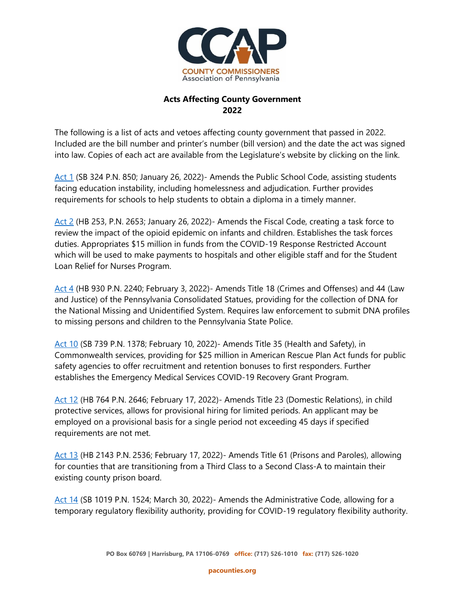

## **Acts Affecting County Government 2022**

The following is a list of acts and vetoes affecting county government that passed in 2022. Included are the bill number and printer's number (bill version) and the date the act was signed into law. Copies of each act are available from the Legislature's website by clicking on the link.

[Act 1](https://www.legis.state.pa.us/cfdocs/billinfo/billinfo.cfm?syear=2021&sind=0&body=S&type=B&bn=0324#:~:text=Short%20Title%3A,of%20March%2010%2C%201949%20(P.L.&text=14)%2C%20known%20as%20the%20Public,assisting%20students%20experiencing%20education%20instability.) (SB 324 P.N. 850; January 26, 2022)- Amends the Public School Code, assisting students facing education instability, including homelessness and adjudication. Further provides requirements for schools to help students to obtain a diploma in a timely manner.

[Act 2](https://www.legis.state.pa.us/cfdocs/billInfo/billInfo.cfm?sYear=2021&sInd=0&body=H&type=B&bn=253) (HB 253, P.N. 2653; January 26, 2022)- Amends the Fiscal Code, creating a task force to review the impact of the opioid epidemic on infants and children. Establishes the task forces duties. Appropriates \$15 million in funds from the COVID-19 Response Restricted Account which will be used to make payments to hospitals and other eligible staff and for the Student Loan Relief for Nurses Program.

[Act 4](https://www.legis.state.pa.us/cfdocs/billinfo/billinfo.cfm?syear=2021&sind=0&body=H&type=B&bn=930) (HB 930 P.N. 2240; February 3, 2022)- Amends Title 18 (Crimes and Offenses) and 44 (Law and Justice) of the Pennsylvania Consolidated Statues, providing for the collection of DNA for the National Missing and Unidentified System. Requires law enforcement to submit DNA profiles to missing persons and children to the Pennsylvania State Police.

[Act 10](https://www.legis.state.pa.us/cfdocs/billinfo/billinfo.cfm?sYear=2021&sInd=0&body=S&type=B&bn=739) (SB 739 P.N. 1378; February 10, 2022)- Amends Title 35 (Health and Safety), in Commonwealth services, providing for \$25 million in American Rescue Plan Act funds for public safety agencies to offer recruitment and retention bonuses to first responders. Further establishes the Emergency Medical Services COVID-19 Recovery Grant Program.

[Act](https://www.legis.state.pa.us/cfdocs/billInfo/billInfo.cfm?sYear=2021&sInd=0&body=H&type=B&bn=764) 12 (HB 764 P.N. 2646; February 17, 2022)- Amends Title 23 (Domestic Relations), in child protective services, allows for provisional hiring for limited periods. An applicant may be employed on a provisional basis for a single period not exceeding 45 days if specified requirements are not met.

[Act](https://www.legis.state.pa.us/cfdocs/billinfo/billinfo.cfm?syear=2021&sind=0&body=H&type=B&bn=2143) 13 (HB 2143 P.N. 2536; February 17, 2022)- Amends Title 61 (Prisons and Paroles), allowing for counties that are transitioning from a Third Class to a Second Class-A to maintain their existing county prison board.

[Act 14](https://www.legis.state.pa.us/cfdocs/billInfo/billInfo.cfm?sYear=2021&sInd=0&body=S&type=B&bn=1019) (SB 1019 P.N. 1524; March 30, 2022)- Amends the Administrative Code, allowing for a temporary regulatory flexibility authority, providing for COVID-19 regulatory flexibility authority.